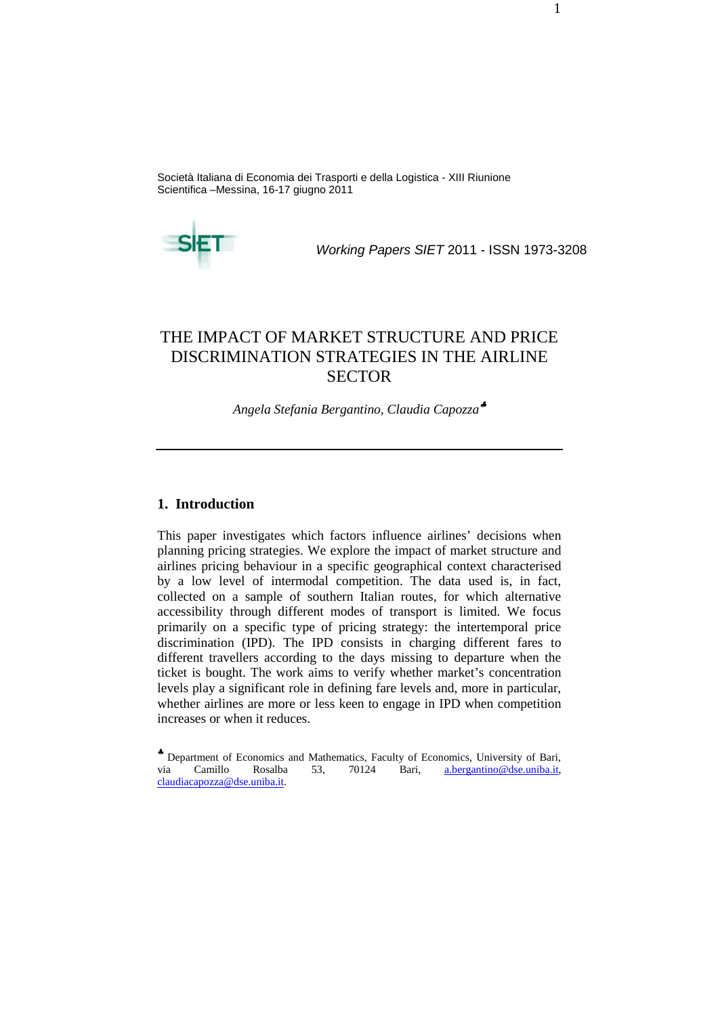Società Italiana di Economia dei Trasporti e della Logistica - XIII Riunione Scientifica –Messina, 16-17 giugno 2011



Working Papers SIET 2011 - ISSN 1973-3208

# THE IMPACT OF MARKET STRUCTURE AND PRICE DISCRIMINATION STRATEGIES IN THE AIRLINE **SECTOR**

*Angela Stefania Bergantino, Claudia Capozza*♣

#### **1. Introduction**

This paper investigates which factors influence airlines' decisions when planning pricing strategies. We explore the impact of market structure and airlines pricing behaviour in a specific geographical context characterised by a low level of intermodal competition. The data used is, in fact, collected on a sample of southern Italian routes, for which alternative accessibility through different modes of transport is limited. We focus primarily on a specific type of pricing strategy: the intertemporal price discrimination (IPD). The IPD consists in charging different fares to different travellers according to the days missing to departure when the ticket is bought. The work aims to verify whether market's concentration levels play a significant role in defining fare levels and, more in particular, whether airlines are more or less keen to engage in IPD when competition increases or when it reduces.

<sup>♣</sup> Department of Economics and Mathematics, Faculty of Economics, University of Bari, via Camillo Rosalba 53, 70124 Bari, a.bergantino@dse.uniba.it, claudiacapozza@dse.uniba.it.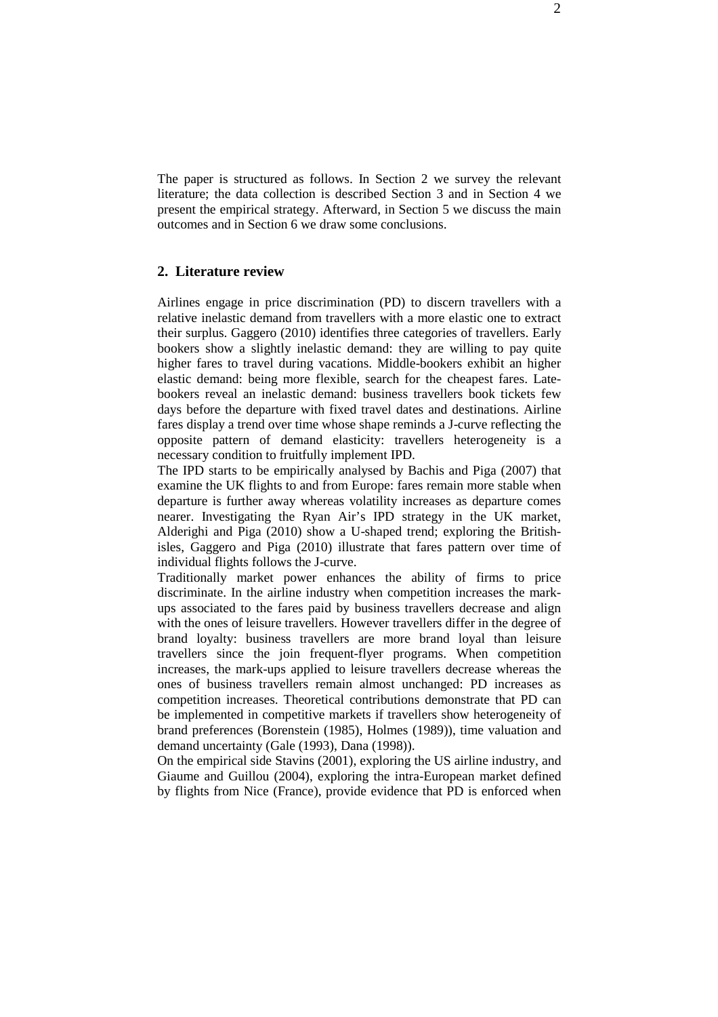The paper is structured as follows. In Section 2 we survey the relevant literature; the data collection is described Section 3 and in Section 4 we present the empirical strategy. Afterward, in Section 5 we discuss the main outcomes and in Section 6 we draw some conclusions.

## **2. Literature review**

Airlines engage in price discrimination (PD) to discern travellers with a relative inelastic demand from travellers with a more elastic one to extract their surplus. Gaggero (2010) identifies three categories of travellers. Early bookers show a slightly inelastic demand: they are willing to pay quite higher fares to travel during vacations. Middle-bookers exhibit an higher elastic demand: being more flexible, search for the cheapest fares. Latebookers reveal an inelastic demand: business travellers book tickets few days before the departure with fixed travel dates and destinations. Airline fares display a trend over time whose shape reminds a J-curve reflecting the opposite pattern of demand elasticity: travellers heterogeneity is a necessary condition to fruitfully implement IPD.

The IPD starts to be empirically analysed by Bachis and Piga (2007) that examine the UK flights to and from Europe: fares remain more stable when departure is further away whereas volatility increases as departure comes nearer. Investigating the Ryan Air's IPD strategy in the UK market, Alderighi and Piga (2010) show a U-shaped trend; exploring the Britishisles, Gaggero and Piga (2010) illustrate that fares pattern over time of individual flights follows the J-curve.

Traditionally market power enhances the ability of firms to price discriminate. In the airline industry when competition increases the markups associated to the fares paid by business travellers decrease and align with the ones of leisure travellers. However travellers differ in the degree of brand loyalty: business travellers are more brand loyal than leisure travellers since the join frequent-flyer programs. When competition increases, the mark-ups applied to leisure travellers decrease whereas the ones of business travellers remain almost unchanged: PD increases as competition increases. Theoretical contributions demonstrate that PD can be implemented in competitive markets if travellers show heterogeneity of brand preferences (Borenstein (1985), Holmes (1989)), time valuation and demand uncertainty (Gale (1993), Dana (1998)).

On the empirical side Stavins (2001), exploring the US airline industry, and Giaume and Guillou (2004), exploring the intra-European market defined by flights from Nice (France), provide evidence that PD is enforced when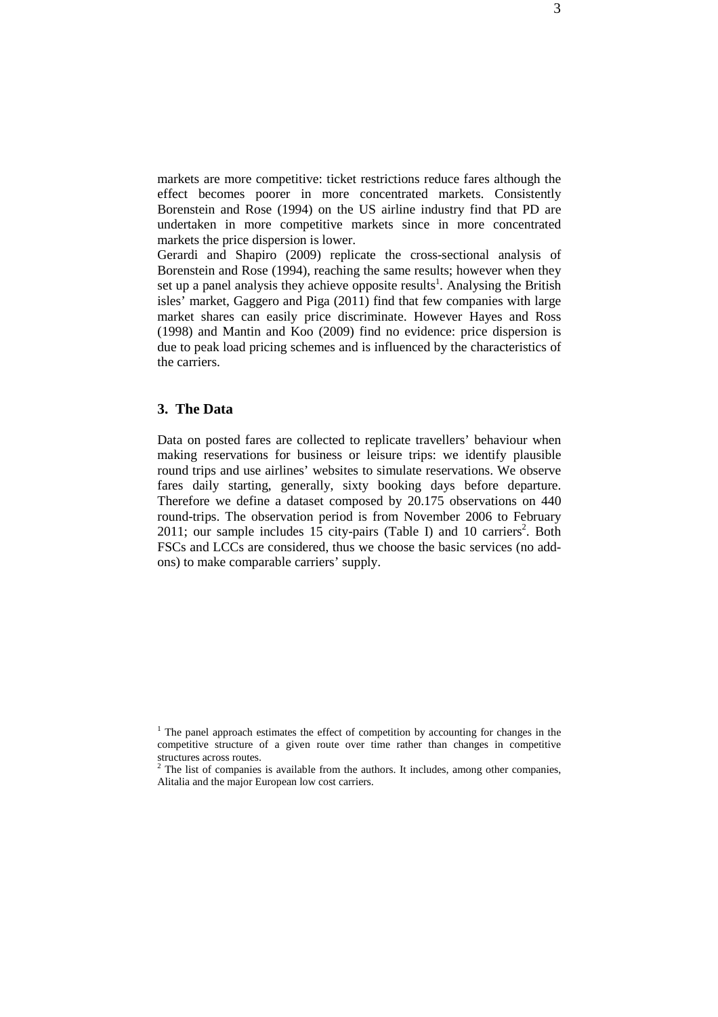markets are more competitive: ticket restrictions reduce fares although the effect becomes poorer in more concentrated markets. Consistently Borenstein and Rose (1994) on the US airline industry find that PD are undertaken in more competitive markets since in more concentrated markets the price dispersion is lower.

Gerardi and Shapiro (2009) replicate the cross-sectional analysis of Borenstein and Rose (1994), reaching the same results; however when they set up a panel analysis they achieve opposite results<sup>1</sup>. Analysing the British isles' market, Gaggero and Piga (2011) find that few companies with large market shares can easily price discriminate. However Hayes and Ross (1998) and Mantin and Koo (2009) find no evidence: price dispersion is due to peak load pricing schemes and is influenced by the characteristics of the carriers.

## **3. The Data**

Data on posted fares are collected to replicate travellers' behaviour when making reservations for business or leisure trips: we identify plausible round trips and use airlines' websites to simulate reservations. We observe fares daily starting, generally, sixty booking days before departure. Therefore we define a dataset composed by 20.175 observations on 440 round-trips. The observation period is from November 2006 to February 2011; our sample includes  $15$  city-pairs (Table I) and 10 carriers<sup>2</sup>. Both FSCs and LCCs are considered, thus we choose the basic services (no addons) to make comparable carriers' supply.

<sup>&</sup>lt;sup>1</sup> The panel approach estimates the effect of competition by accounting for changes in the competitive structure of a given route over time rather than changes in competitive structures across routes.

 $2$  The list of companies is available from the authors. It includes, among other companies, Alitalia and the major European low cost carriers.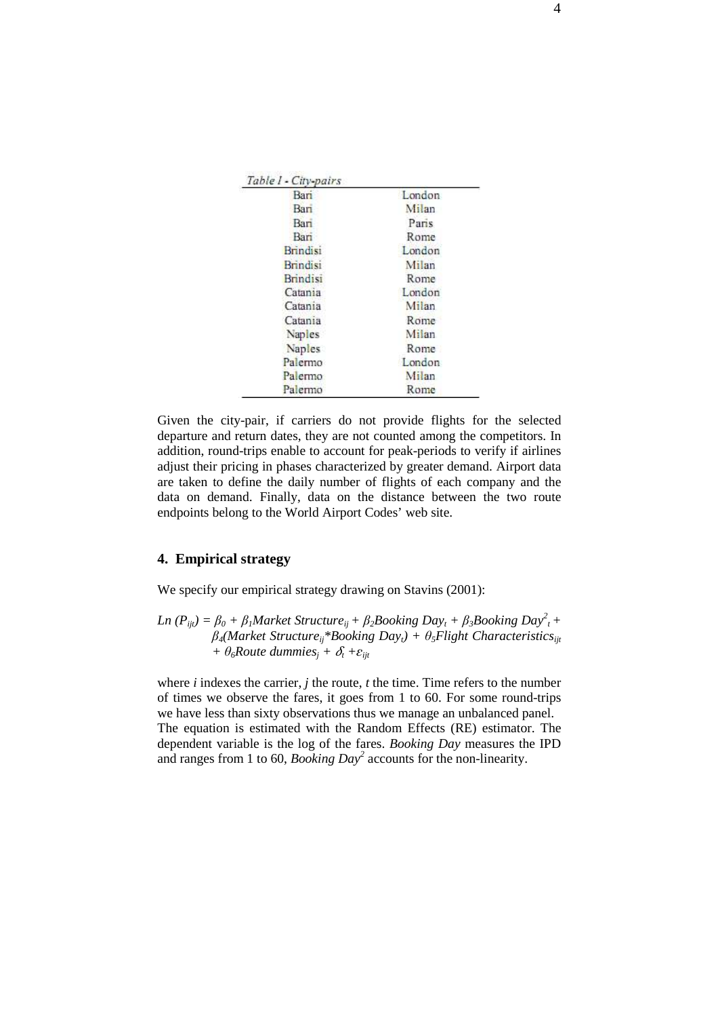| Table 1 - City-pairs |        |  |  |
|----------------------|--------|--|--|
| Bari                 | London |  |  |
| Bari                 | Milan  |  |  |
| Bari                 | Paris  |  |  |
| Bari                 | Rome   |  |  |
| <b>Brindisi</b>      | London |  |  |
| <b>Brindisi</b>      | Milan  |  |  |
| <b>Brindisi</b>      | Rome   |  |  |
| Catania              | London |  |  |
| Catania              | Milan  |  |  |
| Catania              | Rome   |  |  |
| Naples               | Milan  |  |  |
| Naples               | Rome   |  |  |
| Palermo              | London |  |  |
| Palermo              | Milan  |  |  |
| Palermo              | Rome   |  |  |

Given the city-pair, if carriers do not provide flights for the selected departure and return dates, they are not counted among the competitors. In addition, round-trips enable to account for peak-periods to verify if airlines adjust their pricing in phases characterized by greater demand. Airport data are taken to define the daily number of flights of each company and the data on demand. Finally, data on the distance between the two route endpoints belong to the World Airport Codes' web site.

#### **4. Empirical strategy**

We specify our empirical strategy drawing on Stavins (2001):

Ln ( $P_{ijt}$ ) =  $\beta_0 + \beta_1$ Market Structure<sub>ij</sub> +  $\beta_2$ Booking Day<sub>t</sub> +  $\beta_3$ Booking Day<sup>2</sup><sub>t</sub> +  $\beta_4$ *(Market Structure<sub>ij</sub>*<sup>\*</sup>*Booking Day<sub>t</sub></sub>) +*  $\theta_5$ *Flight Characteristics<sub><i>ijt</sub>*</sub>  $+ \theta_6$ *Route dummies*<sub>*j*</sub> +  $\delta_t$  +  $\varepsilon$ <sub>*ijt*</sub>

where *i* indexes the carrier, *j* the route, *t* the time. Time refers to the number of times we observe the fares, it goes from 1 to 60. For some round-trips we have less than sixty observations thus we manage an unbalanced panel. The equation is estimated with the Random Effects (RE) estimator. The dependent variable is the log of the fares. *Booking Day* measures the IPD and ranges from 1 to 60, *Booking Day<sup>2</sup>* accounts for the non-linearity.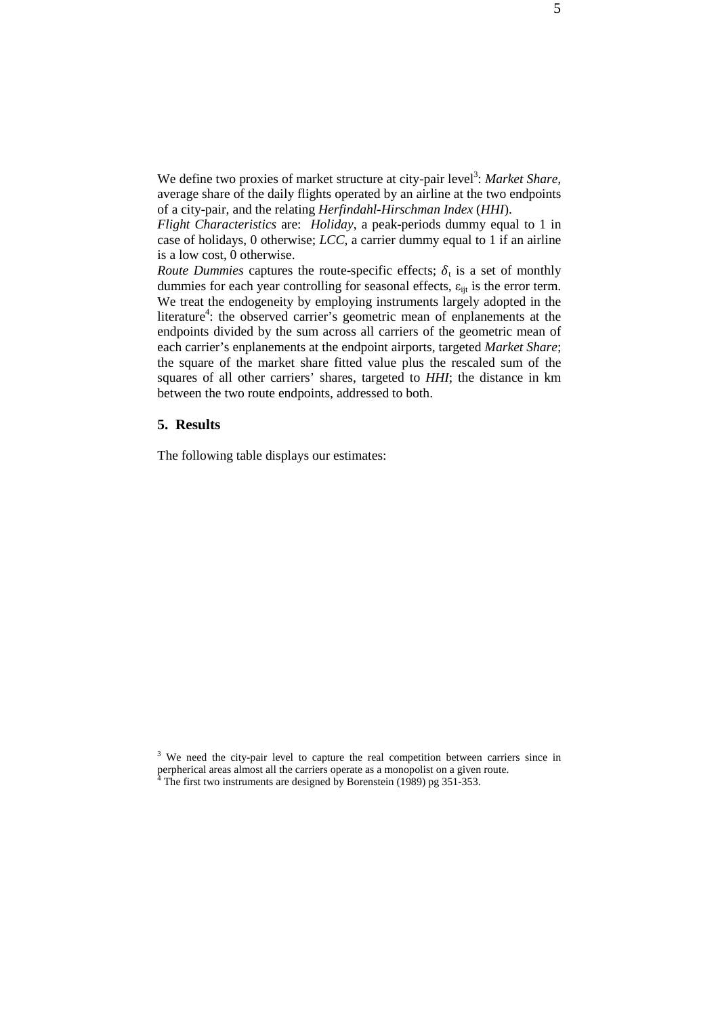We define two proxies of market structure at city-pair level<sup>3</sup>: Market Share, average share of the daily flights operated by an airline at the two endpoints of a city-pair, and the relating *Herfindahl-Hirschman Index* (*HHI*).

*Flight Characteristics* are: *Holiday*, a peak-periods dummy equal to 1 in case of holidays, 0 otherwise; *LCC*, a carrier dummy equal to 1 if an airline is a low cost, 0 otherwise.

*Route Dummies* captures the route-specific effects;  $\delta_t$  is a set of monthly dummies for each year controlling for seasonal effects,  $\varepsilon_{\text{int}}$  is the error term. We treat the endogeneity by employing instruments largely adopted in the literature<sup>4</sup>: the observed carrier's geometric mean of enplanements at the endpoints divided by the sum across all carriers of the geometric mean of each carrier's enplanements at the endpoint airports, targeted *Market Share*; the square of the market share fitted value plus the rescaled sum of the squares of all other carriers' shares, targeted to *HHI*; the distance in km between the two route endpoints, addressed to both.

#### **5. Results**

The following table displays our estimates:

<sup>&</sup>lt;sup>3</sup> We need the city-pair level to capture the real competition between carriers since in perpherical areas almost all the carriers operate as a monopolist on a given route.<br> $^{4}$  The first two instruments are designed by Boranstein (1989) pg 351, 353 The first two instruments are designed by Borenstein (1989) pg 351-353.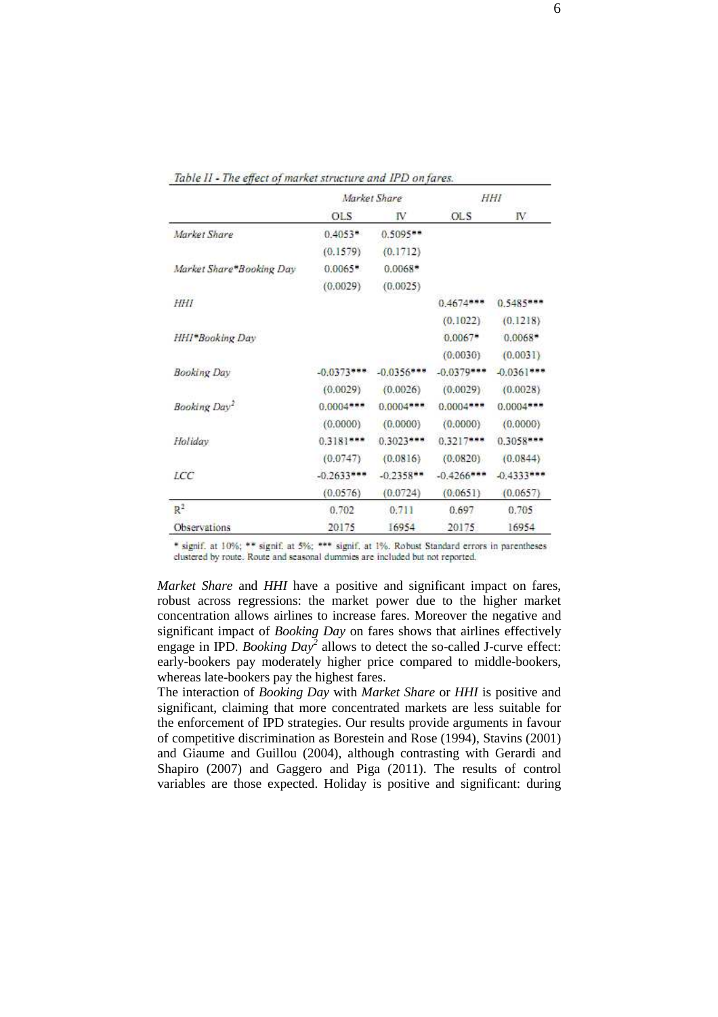|                          | Market Share |              | HHI           |              |
|--------------------------|--------------|--------------|---------------|--------------|
|                          | OLS          | IV           | <b>OLS</b>    | IV.          |
| Market Share             | $0.4053*$    | $0.5095**$   |               |              |
|                          | (0.1579)     | (0.1712)     |               |              |
| Market Share*Booking Day | $0.0065$ *   | $0.0068$ *   |               |              |
|                          | (0.0029)     | (0.0025)     |               |              |
| HHI                      |              |              | $0.4674***$   | $0.5485***$  |
|                          |              |              | (0.1022)      | (0.1218)     |
| HHI*Booking Day          |              |              | $0.0067*$     | $0.0068$ *   |
|                          |              |              | (0.0030)      | (0.0031)     |
| <b>Booking Day</b>       | $-0.0373***$ | $-0.0356***$ | $-0.0379***$  | $-0.0361***$ |
|                          | (0.0029)     | (0.0026)     | (0.0029)      | (0.0028)     |
| Booking Day <sup>2</sup> | $0.0004***$  | $0.0004***$  | $0.0004***$   | $0.0004***$  |
|                          | (0.0000)     | (0.0000)     | (0.0000)      | (0.0000)     |
| Holiday                  | $0.3181***$  | $0.3023***$  | $0.3217***$   | 0.3058***    |
|                          | (0.0747)     | (0.0816)     | (0.0820)      | (0.0844)     |
| LCC                      | $-0.2633***$ | $-0.2358**$  | $-0.4266$ *** | $-0.4333$    |
|                          | (0.0576)     | (0.0724)     | (0.0651)      | (0.0657)     |
| R <sup>2</sup>           | 0.702        | 0.711        | 0.697         | 0.705        |
| Observations             | 20175        | 16954        | 20175         | 16954        |

Table II - The effect of market structure and IPD on fares.

\* signif. at 10%; \*\* signif. at 5%; \*\*\* signif. at 1%. Robust Standard errors in parentheses clustered by route. Route and seasonal dummies are included but not reported.

*Market Share* and *HHI* have a positive and significant impact on fares, robust across regressions: the market power due to the higher market concentration allows airlines to increase fares. Moreover the negative and significant impact of *Booking Day* on fares shows that airlines effectively engage in IPD. *Booking Day*<sup>2</sup> allows to detect the so-called J-curve effect: early-bookers pay moderately higher price compared to middle-bookers, whereas late-bookers pay the highest fares.

The interaction of *Booking Day* with *Market Share* or *HHI* is positive and significant, claiming that more concentrated markets are less suitable for the enforcement of IPD strategies. Our results provide arguments in favour of competitive discrimination as Borestein and Rose (1994), Stavins (2001) and Giaume and Guillou (2004), although contrasting with Gerardi and Shapiro (2007) and Gaggero and Piga (2011). The results of control variables are those expected. Holiday is positive and significant: during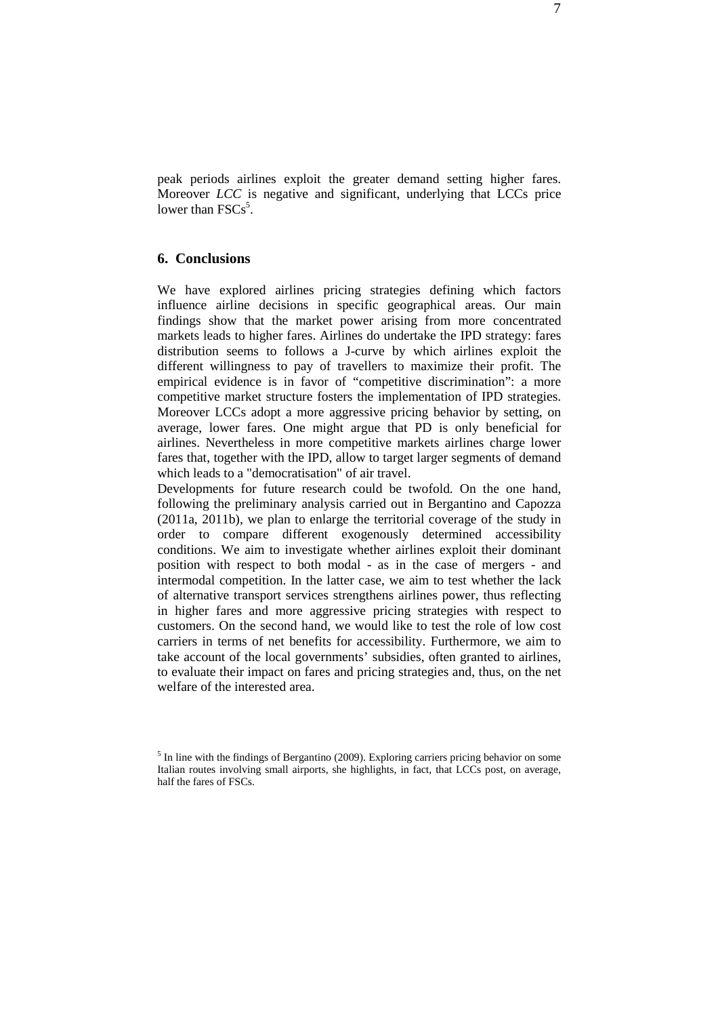peak periods airlines exploit the greater demand setting higher fares. Moreover *LCC* is negative and significant, underlying that LCCs price lower than  $FSCs^5$ .

# **6. Conclusions**

We have explored airlines pricing strategies defining which factors influence airline decisions in specific geographical areas. Our main findings show that the market power arising from more concentrated markets leads to higher fares. Airlines do undertake the IPD strategy: fares distribution seems to follows a J-curve by which airlines exploit the different willingness to pay of travellers to maximize their profit. The empirical evidence is in favor of "competitive discrimination": a more competitive market structure fosters the implementation of IPD strategies. Moreover LCCs adopt a more aggressive pricing behavior by setting, on average, lower fares. One might argue that PD is only beneficial for airlines. Nevertheless in more competitive markets airlines charge lower fares that, together with the IPD, allow to target larger segments of demand which leads to a "democratisation" of air travel.

Developments for future research could be twofold. On the one hand, following the preliminary analysis carried out in Bergantino and Capozza (2011a, 2011b), we plan to enlarge the territorial coverage of the study in order to compare different exogenously determined accessibility conditions. We aim to investigate whether airlines exploit their dominant position with respect to both modal - as in the case of mergers - and intermodal competition. In the latter case, we aim to test whether the lack of alternative transport services strengthens airlines power, thus reflecting in higher fares and more aggressive pricing strategies with respect to customers. On the second hand, we would like to test the role of low cost carriers in terms of net benefits for accessibility. Furthermore, we aim to take account of the local governments' subsidies, often granted to airlines, to evaluate their impact on fares and pricing strategies and, thus, on the net welfare of the interested area.

<sup>&</sup>lt;sup>5</sup> In line with the findings of Bergantino (2009). Exploring carriers pricing behavior on some Italian routes involving small airports, she highlights, in fact, that LCCs post, on average, half the fares of FSCs.